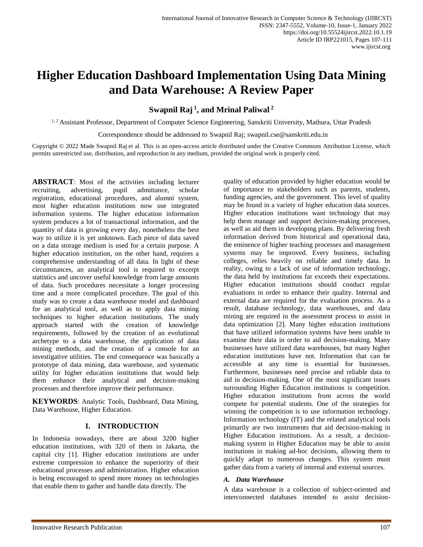# **Higher Education Dashboard Implementation Using Data Mining and Data Warehouse: A Review Paper**

**Swapnil Raj <sup>1</sup> , and Mrinal Paliwal <sup>2</sup>**

<sup>1, 2</sup> Assistant Professor, Department of Computer Science Engineering, Sanskriti University, Mathura, Uttar Pradesh

Correspondence should be addressed to Swapnil Raj; swapnil.cse@sanskriti.edu.in

Copyright © 2022 Made Swapnil Raj et al. This is an open-access article distributed under the Creative Commons Attribution License, which permits unrestricted use, distribution, and reproduction in any medium, provided the original work is properly cited.

**ABSTRACT**: Most of the activities including lecturer recruiting, advertising, pupil admittance, scholar registration, educational procedures, and alumni system, most higher education institutions now use integrated information systems. The higher education information system produces a lot of transactional information, and the quantity of data is growing every day, nonetheless the best way to utilize it is yet unknown. Each piece of data saved on a data storage medium is used for a certain purpose. A higher education institution, on the other hand, requires a comprehensive understanding of all data. In light of these circumstances, an analytical tool is required to excerpt statistics and uncover useful knowledge from large amounts of data. Such procedures necessitate a longer processing time and a more complicated procedure. The goal of this study was to create a data warehouse model and dashboard for an analytical tool, as well as to apply data mining techniques to higher education institutions. The study approach started with the creation of knowledge requirements, followed by the creation of an evolutional archetype to a data warehouse, the application of data mining methods, and the creation of a console for an investigative utilities. The end consequence was basically a prototype of data mining, data warehouse, and systematic utility for higher education institutions that would help them enhance their analytical and decision-making processes and therefore improve their performance.

**KEYWORDS**: Analytic Tools, Dashboard, Data Mining, Data Warehouse, Higher Education.

# **I. INTRODUCTION**

In Indonesia nowadays, there are about 3200 higher education institutions, with 320 of them in Jakarta, the capital city [1]. Higher education institutions are under extreme compression to enhance the superiority of their educational processes and administration. Higher education is being encouraged to spend more money on technologies that enable them to gather and handle data directly. The

quality of education provided by higher education would be of importance to stakeholders such as parents, students, funding agencies, and the government. This level of quality may be found in a variety of higher education data sources. Higher education institutions want technology that may help them manage and support decision-making processes, as well as aid them in developing plans. By delivering fresh information derived from historical and operational data, the eminence of higher teaching processes and management systems may be improved. Every business, including colleges, relies heavily on reliable and timely data. In reality, owing to a lack of use of information technology, the data held by institutions far exceeds their expectations. Higher education institutions should conduct regular evaluations in order to enhance their quality. Internal and external data are required for the evaluation process. As a result, database technology, data warehouses, and data mining are required in the assessment process to assist in data optimization [2]. Many higher education institutions that have utilized information systems have been unable to examine their data in order to aid decision-making. Many businesses have utilized data warehouses, but many higher education institutions have not. Information that can be accessible at any time is essential for businesses. Furthermore, businesses need precise and reliable data to aid in decision-making. One of the most significant issues surrounding Higher Education institutions is competition. Higher education institutions from across the world compete for potential students. One of the strategies for winning the competition is to use information technology. Information technology (IT) and the related analytical tools primarily are two instruments that aid decision-making in Higher Education institutions. As a result, a decisionmaking system in Higher Education may be able to assist institutions in making ad-hoc decisions, allowing them to quickly adapt to numerous changes. This system must gather data from a variety of internal and external sources.

# *A. Data Warehouse*

A data warehouse is a collection of subject-oriented and interconnected databases intended to assist decision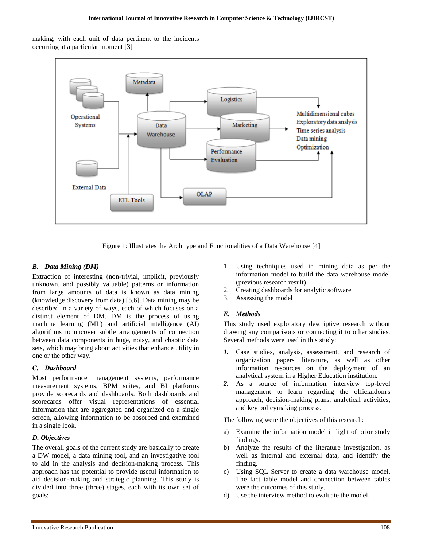making, with each unit of data pertinent to the incidents occurring at a particular moment [3]



Figure 1: Illustrates the Architype and Functionalities of a Data Warehouse [4]

# *B. Data Mining (DM)*

Extraction of interesting (non-trivial, implicit, previously unknown, and possibly valuable) patterns or information from large amounts of data is known as data mining (knowledge discovery from data) [5,6]. Data mining may be described in a variety of ways, each of which focuses on a distinct element of DM. DM is the process of using machine learning (ML) and artificial intelligence (AI) algorithms to uncover subtle arrangements of connection between data components in huge, noisy, and chaotic data sets, which may bring about activities that enhance utility in one or the other way.

# *C. Dashboard*

Most performance management systems, performance measurement systems, BPM suites, and BI platforms provide scorecards and dashboards. Both dashboards and scorecards offer visual representations of essential information that are aggregated and organized on a single screen, allowing information to be absorbed and examined in a single look.

# *D. Objectives*

The overall goals of the current study are basically to create a DW model, a data mining tool, and an investigative tool to aid in the analysis and decision-making process. This approach has the potential to provide useful information to aid decision-making and strategic planning. This study is divided into three (three) stages, each with its own set of goals:

- 1. Using techniques used in mining data as per the information model to build the data warehouse model (previous research result)
- 2. Creating dashboards for analytic software
- 3. Assessing the model

# *E. Methods*

This study used exploratory descriptive research without drawing any comparisons or connecting it to other studies. Several methods were used in this study:

- *1.* Case studies, analysis, assessment, and research of organization papers' literature, as well as other information resources on the deployment of an analytical system in a Higher Education institution.
- *2.* As a source of information, interview top-level management to learn regarding the officialdom's approach, decision-making plans, analytical activities, and key policymaking process.

The following were the objectives of this research:

- a) Examine the information model in light of prior study findings.
- b) Analyze the results of the literature investigation, as well as internal and external data, and identify the finding.
- c) Using SQL Server to create a data warehouse model. The fact table model and connection between tables were the outcomes of this study.
- d) Use the interview method to evaluate the model.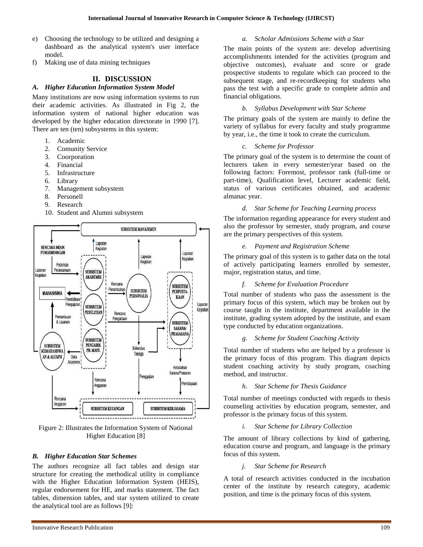- e) Choosing the technology to be utilized and designing a dashboard as the analytical system's user interface model.
- f) Making use of data mining techniques

# **II. DISCUSSION**

#### *A. Higher Education Information System Model*

Many institutions are now using information systems to run their academic activities. As illustrated in Fig 2, the information system of national higher education was developed by the higher education directorate in 1990 [7]. There are ten (ten) subsystems in this system:

- 1. Academic
- 2. Comunity Service
- 3. Coorporation
- 4. Financial
- 5. Infrastructure
- 6. Library
- 7. Management subsystem
- 8. Personell
- 9. Research
- 10. Student and Alumni subsystem



Figure 2: Illustrates the Information System of National Higher Education [8]

# *B. Higher Education Star Schemes*

The authors recognize all fact tables and design star structure for creating the methodical utility in compliance with the Higher Education Information System (HEIS), regular endorsement for HE, and marks statement. The fact tables, dimension tables, and star system utilized to create the analytical tool are as follows [9]:

#### *a. Scholar Admissions Scheme with a Star*

The main points of the system are: develop advertising accomplishments intended for the activities (program and objective outcomes), evaluate and score or grade prospective students to regulate which can proceed to the subsequent stage, and re-recordkeeping for students who pass the test with a specific grade to complete admin and financial obligations.

#### *b. Syllabus Development with Star Scheme*

The primary goals of the system are mainly to define the variety of syllabus for every faculty and study programme by year, i.e., the time it took to create the curriculum.

#### *c. Scheme for Professor*

The primary goal of the system is to determine the count of lecturers taken in every semester/year based on the following factors: Foremost, professor rank (full-time or part-time), Qualification level, Lecturer academic field, status of various certificates obtained, and academic almanac year.

# *d. Star Scheme for Teaching Learning process*

The information regarding appearance for every student and also the professor by semester, study program, and course are the primary perspectives of this system.

#### *e. Payment and Registration Scheme*

The primary goal of this system is to gather data on the total of actively participating learners enrolled by semester, major, registration status, and time.

#### *f. Scheme for Evaluation Procedure*

Total number of students who pass the assessment is the primary focus of this system, which may be broken out by course taught in the institute, department available in the institute, grading system adopted by the institute, and exam type conducted by education organizations.

#### *g. Scheme for Student Coaching Activity*

Total number of students who are helped by a professor is the primary focus of this program. This diagram depicts student coaching activity by study program, coaching method, and instructor.

# *h. Star Scheme for Thesis Guidance*

Total number of meetings conducted with regards to thesis counseling activities by education program, semester, and professor is the primary focus of this system.

#### *i. Star Scheme for Library Collection*

The amount of library collections by kind of gathering, education course and program, and language is the primary focus of this system.

# *j. Star Scheme for Research*

A total of research activities conducted in the incubation center of the institute by research category, academic position, and time is the primary focus of this system.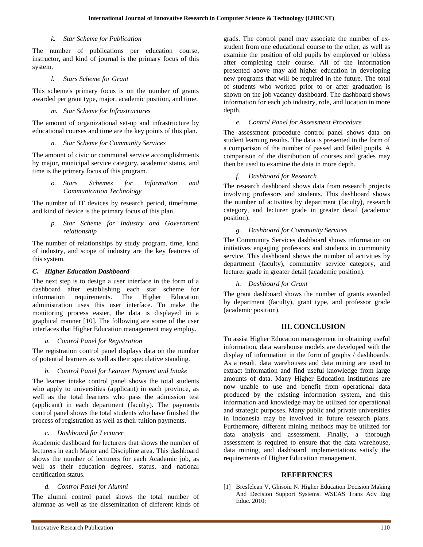# *k. Star Scheme for Publication*

The number of publications per education course, instructor, and kind of journal is the primary focus of this system.

#### *l. Stars Scheme for Grant*

This scheme's primary focus is on the number of grants awarded per grant type, major, academic position, and time.

#### *m. Star Scheme for Infrastructures*

The amount of organizational set-up and infrastructure by educational courses and time are the key points of this plan.

#### *n. Star Scheme for Community Services*

The amount of civic or communal service accomplishments by major, municipal service category, academic status, and time is the primary focus of this program.

> *o. Stars Schemes for Information and Communication Technology*

The number of IT devices by research period, timeframe, and kind of device is the primary focus of this plan.

*p. Star Scheme for Industry and Government relationship*

The number of relationships by study program, time, kind of industry, and scope of industry are the key features of this system.

#### *C. Higher Education Dashboard*

The next step is to design a user interface in the form of a dashboard after establishing each star scheme for information requirements. The Higher Education administration uses this user interface. To make the monitoring process easier, the data is displayed in a graphical manner [10]. The following are some of the user interfaces that Higher Education management may employ.

#### *a. Control Panel for Registration*

The registration control panel displays data on the number of potential learners as well as their speculative standing.

#### *b. Control Panel for Learner Payment and Intake*

The learner intake control panel shows the total students who apply to universities (applicant) in each province, as well as the total learners who pass the admission test (applicant) in each department (faculty). The payments control panel shows the total students who have finished the process of registration as well as their tuition payments.

# *c. Dashboard for Lecturer*

Academic dashboard for lecturers that shows the number of lecturers in each Major and Discipline area. This dashboard shows the number of lecturers for each Academic job, as well as their education degrees, status, and national certification status.

# *d. Control Panel for Alumni*

The alumni control panel shows the total number of alumnae as well as the dissemination of different kinds of grads. The control panel may associate the number of exstudent from one educational course to the other, as well as examine the position of old pupils by employed or jobless after completing their course. All of the information presented above may aid higher education in developing new programs that will be required in the future. The total of students who worked prior to or after graduation is shown on the job vacancy dashboard. The dashboard shows information for each job industry, role, and location in more depth.

#### *e. Control Panel for Assessment Procedure*

The assessment procedure control panel shows data on student learning results. The data is presented in the form of a comparison of the number of passed and failed pupils. A comparison of the distribution of courses and grades may then be used to examine the data in more depth.

# *f. Dashboard for Research*

The research dashboard shows data from research projects involving professors and students. This dashboard shows the number of activities by department (faculty), research category, and lecturer grade in greater detail (academic position).

#### *g. Dashboard for Community Services*

The Community Services dashboard shows information on initiatives engaging professors and students in community service. This dashboard shows the number of activities by department (faculty), community service category, and lecturer grade in greater detail (academic position).

#### *h. Dashboard for Grant*

The grant dashboard shows the number of grants awarded by department (faculty), grant type, and professor grade (academic position).

# **III. CONCLUSION**

To assist Higher Education management in obtaining useful information, data warehouse models are developed with the display of information in the form of graphs / dashboards. As a result, data warehouses and data mining are used to extract information and find useful knowledge from large amounts of data. Many Higher Education institutions are now unable to use and benefit from operational data produced by the existing information system, and this information and knowledge may be utilized for operational and strategic purposes. Many public and private universities in Indonesia may be involved in future research plans. Furthermore, different mining methods may be utilized for data analysis and assessment. Finally, a thorough assessment is required to ensure that the data warehouse, data mining, and dashboard implementations satisfy the requirements of Higher Education management.

# **REFERENCES**

[1] Bresfelean V, Ghisoiu N. Higher Education Decision Making And Decision Support Systems. WSEAS Trans Adv Eng Educ. 2010;